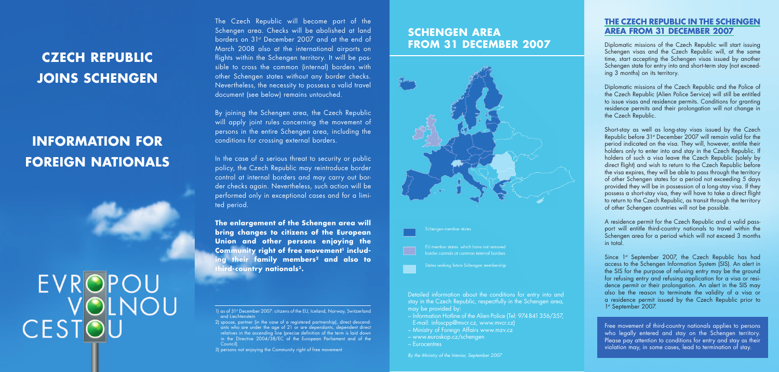### **SCHENGEN AREA FROM 31 DECEMBER 2007**







**States seeking future Schengen membership** 

Detailed information about the conditions for entry into and stay in the Czech Republic, respectfully in the Schengen area, may be provided by:

- Information Hotline of the Alien Police (Tel: 974 841 356/357, E-mail: infoscpp@mvcr.cz, www.mvcr.cz)
- Ministry of Foreign Affairs www.mzv.cz
- www.euroskop.cz/schengen
- Eurocentres

*By the Ministry of the Interior, September 2007*

## **CZECH REPUBLIC JOINS SCHENGEN**

## **INFORMATION FOR FOREIGN NATIONALS**

# **EVROPOU** VOLNOU CESTOU

#### **THE CZECH REPUBLIC IN THE SCHENGEN AREA FROM 31 DECEMBER 2007**

Diplomatic missions of the Czech Republic will start issuing Schengen visas and the Czech Republic will, at the same time, start accepting the Schengen visas issued by another Schengen state for entry into and short-term stay (not exceeding 3 months) on its territory.

Diplomatic missions of the Czech Republic and the Police of the Czech Republic (Alien Police Service) will still be entitled to issue visas and residence permits. Conditions for granting residence permits and their prolongation will not change in the Czech Republic.

Short-stay as well as long-stay visas issued by the Czech Republic before 31st December 2007 will remain valid for the period indicated on the visa. They will, however, entitle their holders only to enter into and stay in the Czech Republic. If holders of such a visa leave the Czech Republic (solely by direct flight) and wish to return to the Czech Republic before the visa expires, they will be able to pass through the territory of other Schengen states for a period not exceeding 5 days provided they will be in possession of a long-stay visa. If they possess a short-stay visa, they will have to take a direct flight to return to the Czech Republic, as transit through the territory of other Schengen countries will not be possible.

A residence permit for the Czech Republic and a valid passport will entitle third-country nationals to travel within the Schengen area for a period which will not exceed 3 months in total.

Since 1st September 2007, the Czech Republic has had access to the Schengen Information System (SIS). An alert in the SIS for the purpose of refusing entry may be the ground for refusing entry and refusing application for a visa or residence permit or their prolongation. An alert in the SIS may also be the reason to terminate the validity of a visa or a residence permit issued by the Czech Republic prior to 1st September 2007.

Free movement of third-country nationals applies to persons who legally entered and stay on the Schengen territory. Please pay attention to conditions for entry and stay as their violation may, in some cases, lead to termination of stay.

The Czech Republic will become part of the Schengen area. Checks will be abolished at land borders on 31st December 2007 and at the end of March 2008 also at the international airports on flights within the Schengen territory. It will be possible to cross the common (internal) borders with other Schengen states without any border checks. Nevertheless, the necessity to possess a valid travel document (see below) remains untouched.

By joining the Schengen area, the Czech Republic will apply joint rules concerning the movement of persons in the entire Schengen area, including the conditions for crossing external borders.

In the case of a serious threat to security or public policy, the Czech Republic may reintroduce border control at internal borders and may carry out border checks again. Nevertheless, such action will be performed only in exceptional cases and for a limited period.

**The enlargement of the Schengen area will bring changes to citizens of the European Union and other persons enjoying the**  Community right of free movement<sup>1</sup> includ**ing their family members2 and also to third-country nationals3.**

3) persons not enjoying the Community right of free movement

<sup>1)</sup> as of 31<sup>st</sup> December 2007: citizens of the EU, Iceland, Norway, Switzerland and Liechtenstein

<sup>2)</sup> spouse, partner (in the case of a registered partnership), direct descendants who are under the age of 21 or are dependants, dependent direct relatives in the ascending line (precise definition of the term is laid down in the Directive 2004/38/EC of the European Parliament and of the Council)